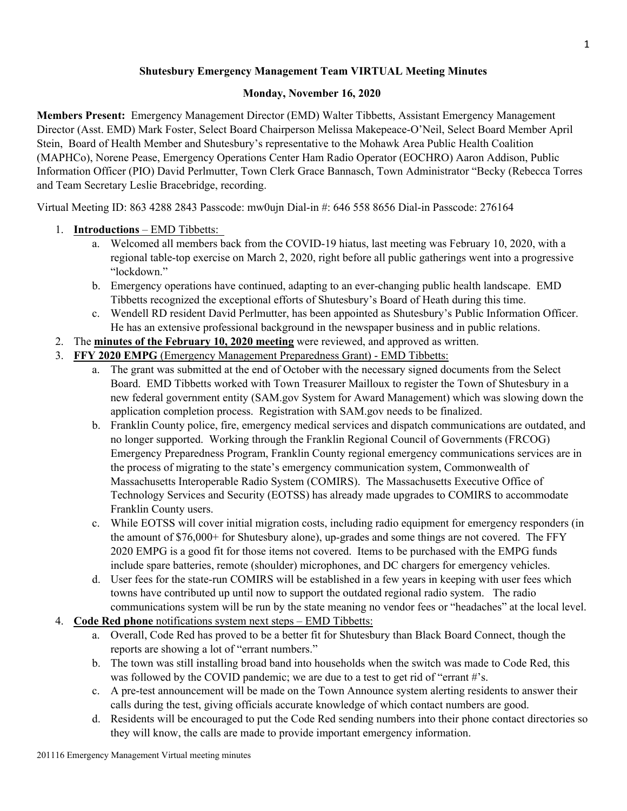# **Shutesbury Emergency Management Team VIRTUAL Meeting Minutes**

## **Monday, November 16, 2020**

**Members Present:** Emergency Management Director (EMD) Walter Tibbetts, Assistant Emergency Management Director (Asst. EMD) Mark Foster, Select Board Chairperson Melissa Makepeace-O'Neil, Select Board Member April Stein, Board of Health Member and Shutesbury's representative to the Mohawk Area Public Health Coalition (MAPHCo), Norene Pease, Emergency Operations Center Ham Radio Operator (EOCHRO) Aaron Addison, Public Information Officer (PIO) David Perlmutter, Town Clerk Grace Bannasch, Town Administrator "Becky (Rebecca Torres and Team Secretary Leslie Bracebridge, recording.

Virtual Meeting ID: 863 4288 2843 Passcode: mw0ujn Dial-in #: 646 558 8656 Dial-in Passcode: 276164

- 1. **Introductions**  EMD Tibbetts:
	- a. Welcomed all members back from the COVID-19 hiatus, last meeting was February 10, 2020, with a regional table-top exercise on March 2, 2020, right before all public gatherings went into a progressive "lockdown."
	- b. Emergency operations have continued, adapting to an ever-changing public health landscape. EMD Tibbetts recognized the exceptional efforts of Shutesbury's Board of Heath during this time.
	- c. Wendell RD resident David Perlmutter, has been appointed as Shutesbury's Public Information Officer. He has an extensive professional background in the newspaper business and in public relations.
- 2. The **minutes of the February 10, 2020 meeting** were reviewed, and approved as written.
- 3. **FFY 2020 EMPG** (Emergency Management Preparedness Grant) EMD Tibbetts:
	- a. The grant was submitted at the end of October with the necessary signed documents from the Select Board. EMD Tibbetts worked with Town Treasurer Mailloux to register the Town of Shutesbury in a new federal government entity (SAM.gov System for Award Management) which was slowing down the application completion process. Registration with SAM.gov needs to be finalized.
	- b. Franklin County police, fire, emergency medical services and dispatch communications are outdated, and no longer supported. Working through the Franklin Regional Council of Governments (FRCOG) Emergency Preparedness Program, Franklin County regional emergency communications services are in the process of migrating to the state's emergency communication system, Commonwealth of Massachusetts Interoperable Radio System (COMIRS). The Massachusetts Executive Office of Technology Services and Security (EOTSS) has already made upgrades to COMIRS to accommodate Franklin County users.
	- c. While EOTSS will cover initial migration costs, including radio equipment for emergency responders (in the amount of \$76,000+ for Shutesbury alone), up-grades and some things are not covered. The FFY 2020 EMPG is a good fit for those items not covered. Items to be purchased with the EMPG funds include spare batteries, remote (shoulder) microphones, and DC chargers for emergency vehicles.
	- d. User fees for the state-run COMIRS will be established in a few years in keeping with user fees which towns have contributed up until now to support the outdated regional radio system. The radio communications system will be run by the state meaning no vendor fees or "headaches" at the local level.
- 4. **Code Red phone** notifications system next steps EMD Tibbetts:
	- a. Overall, Code Red has proved to be a better fit for Shutesbury than Black Board Connect, though the reports are showing a lot of "errant numbers."
	- b. The town was still installing broad band into households when the switch was made to Code Red, this was followed by the COVID pandemic; we are due to a test to get rid of "errant #'s.
	- c. A pre-test announcement will be made on the Town Announce system alerting residents to answer their calls during the test, giving officials accurate knowledge of which contact numbers are good.
	- d. Residents will be encouraged to put the Code Red sending numbers into their phone contact directories so they will know, the calls are made to provide important emergency information.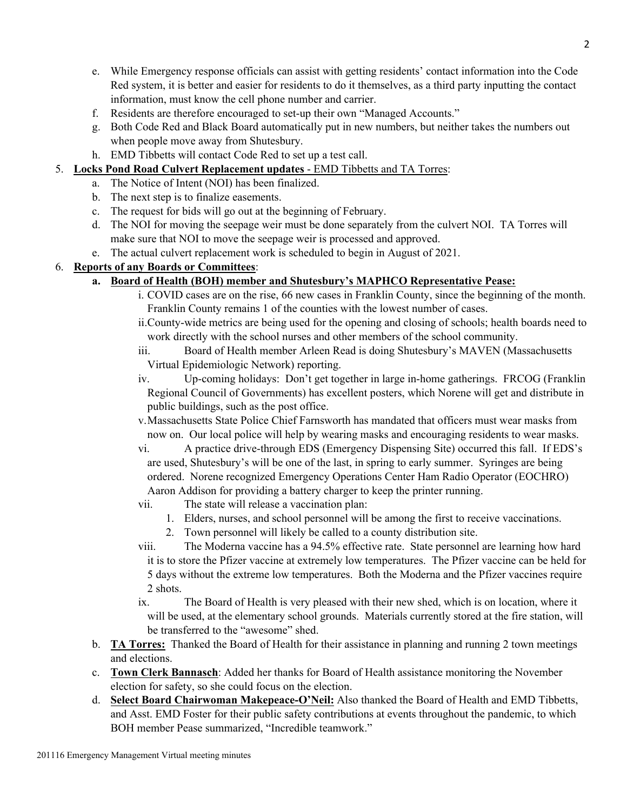- e. While Emergency response officials can assist with getting residents' contact information into the Code Red system, it is better and easier for residents to do it themselves, as a third party inputting the contact information, must know the cell phone number and carrier.
- f. Residents are therefore encouraged to set-up their own "Managed Accounts."
- g. Both Code Red and Black Board automatically put in new numbers, but neither takes the numbers out when people move away from Shutesbury.
- h. EMD Tibbetts will contact Code Red to set up a test call.

# 5. **Locks Pond Road Culvert Replacement updates** - EMD Tibbetts and TA Torres:

- a. The Notice of Intent (NOI) has been finalized.
- b. The next step is to finalize easements.
- c. The request for bids will go out at the beginning of February.
- d. The NOI for moving the seepage weir must be done separately from the culvert NOI. TA Torres will make sure that NOI to move the seepage weir is processed and approved.
- e. The actual culvert replacement work is scheduled to begin in August of 2021.

# 6. **Reports of any Boards or Committees**:

- **a. Board of Health (BOH) member and Shutesbury's MAPHCO Representative Pease:**
	- i. COVID cases are on the rise, 66 new cases in Franklin County, since the beginning of the month. Franklin County remains 1 of the counties with the lowest number of cases.
	- ii.County-wide metrics are being used for the opening and closing of schools; health boards need to work directly with the school nurses and other members of the school community.
	- iii. Board of Health member Arleen Read is doing Shutesbury's MAVEN (Massachusetts Virtual Epidemiologic Network) reporting.
	- iv. Up-coming holidays: Don't get together in large in-home gatherings. FRCOG (Franklin Regional Council of Governments) has excellent posters, which Norene will get and distribute in public buildings, such as the post office.
	- v.Massachusetts State Police Chief Farnsworth has mandated that officers must wear masks from now on. Our local police will help by wearing masks and encouraging residents to wear masks.
	- vi. A practice drive-through EDS (Emergency Dispensing Site) occurred this fall. If EDS's are used, Shutesbury's will be one of the last, in spring to early summer. Syringes are being ordered. Norene recognized Emergency Operations Center Ham Radio Operator (EOCHRO) Aaron Addison for providing a battery charger to keep the printer running.
	- vii. The state will release a vaccination plan:
		- 1. Elders, nurses, and school personnel will be among the first to receive vaccinations.
		- 2. Town personnel will likely be called to a county distribution site.
	- viii. The Moderna vaccine has a 94.5% effective rate. State personnel are learning how hard it is to store the Pfizer vaccine at extremely low temperatures. The Pfizer vaccine can be held for 5 days without the extreme low temperatures. Both the Moderna and the Pfizer vaccines require 2 shots.
	- ix. The Board of Health is very pleased with their new shed, which is on location, where it will be used, at the elementary school grounds. Materials currently stored at the fire station, will be transferred to the "awesome" shed.
- b. **TA Torres:** Thanked the Board of Health for their assistance in planning and running 2 town meetings and elections.
- c. **Town Clerk Bannasch**: Added her thanks for Board of Health assistance monitoring the November election for safety, so she could focus on the election.
- d. **Select Board Chairwoman Makepeace-O'Neil:** Also thanked the Board of Health and EMD Tibbetts, and Asst. EMD Foster for their public safety contributions at events throughout the pandemic, to which BOH member Pease summarized, "Incredible teamwork."